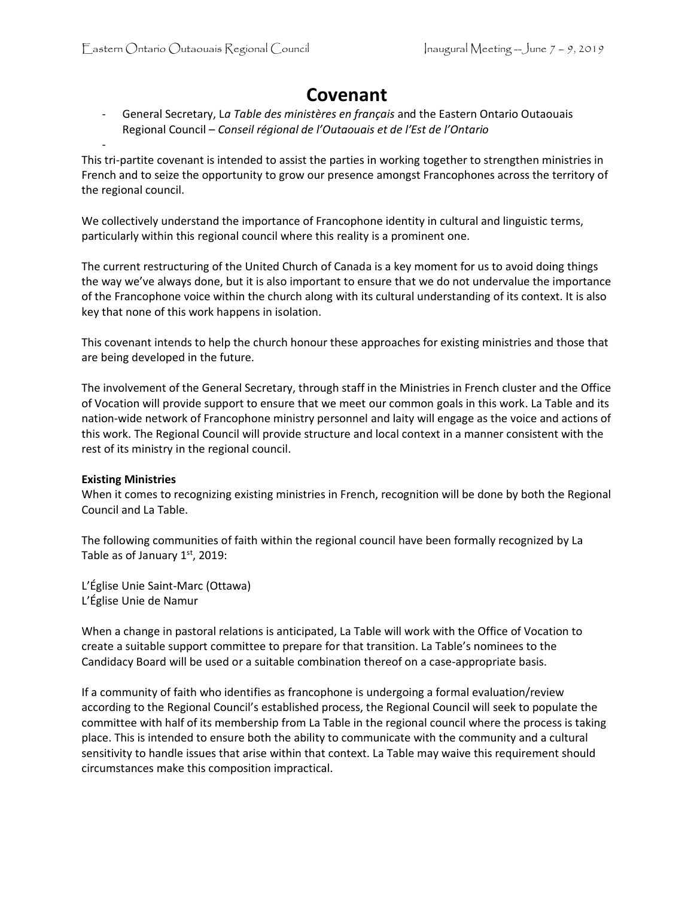# **Covenant**

- General Secretary, L*a Table des ministères en français* and the Eastern Ontario Outaouais Regional Council – *Conseil régional de l'Outaouais et de l'Est de l'Ontario*

This tri-partite covenant is intended to assist the parties in working together to strengthen ministries in French and to seize the opportunity to grow our presence amongst Francophones across the territory of the regional council.

We collectively understand the importance of Francophone identity in cultural and linguistic terms, particularly within this regional council where this reality is a prominent one.

The current restructuring of the United Church of Canada is a key moment for us to avoid doing things the way we've always done, but it is also important to ensure that we do not undervalue the importance of the Francophone voice within the church along with its cultural understanding of its context. It is also key that none of this work happens in isolation.

This covenant intends to help the church honour these approaches for existing ministries and those that are being developed in the future.

The involvement of the General Secretary, through staff in the Ministries in French cluster and the Office of Vocation will provide support to ensure that we meet our common goals in this work. La Table and its nation-wide network of Francophone ministry personnel and laity will engage as the voice and actions of this work. The Regional Council will provide structure and local context in a manner consistent with the rest of its ministry in the regional council.

## **Existing Ministries**

-

When it comes to recognizing existing ministries in French, recognition will be done by both the Regional Council and La Table.

The following communities of faith within the regional council have been formally recognized by La Table as of January 1st, 2019:

L'Église Unie Saint-Marc (Ottawa) L'Église Unie de Namur

When a change in pastoral relations is anticipated, La Table will work with the Office of Vocation to create a suitable support committee to prepare for that transition. La Table's nominees to the Candidacy Board will be used or a suitable combination thereof on a case-appropriate basis.

If a community of faith who identifies as francophone is undergoing a formal evaluation/review according to the Regional Council's established process, the Regional Council will seek to populate the committee with half of its membership from La Table in the regional council where the process is taking place. This is intended to ensure both the ability to communicate with the community and a cultural sensitivity to handle issues that arise within that context. La Table may waive this requirement should circumstances make this composition impractical.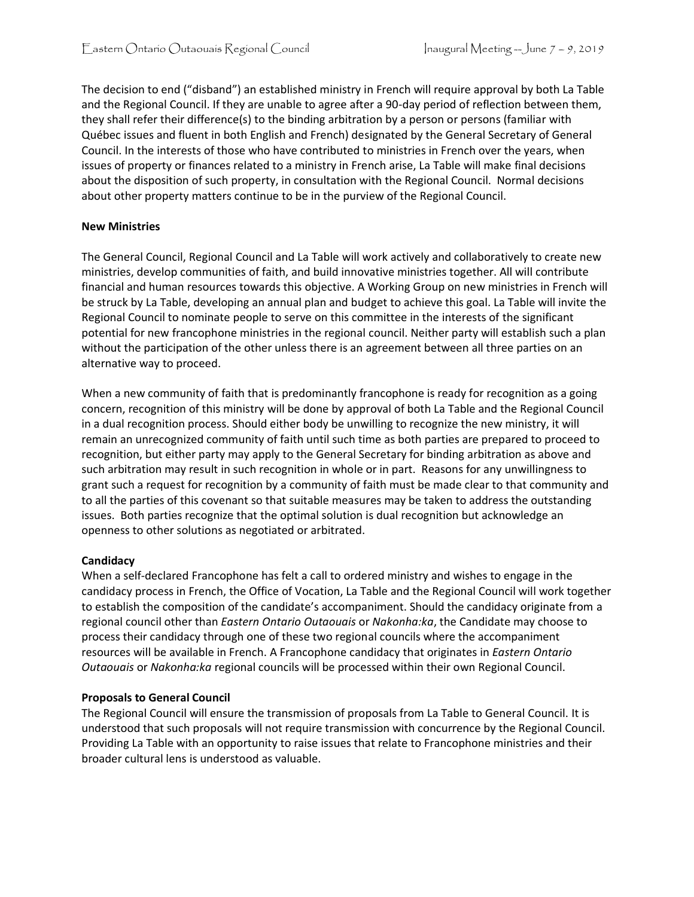The decision to end ("disband") an established ministry in French will require approval by both La Table and the Regional Council. If they are unable to agree after a 90-day period of reflection between them, they shall refer their difference(s) to the binding arbitration by a person or persons (familiar with Québec issues and fluent in both English and French) designated by the General Secretary of General Council. In the interests of those who have contributed to ministries in French over the years, when issues of property or finances related to a ministry in French arise, La Table will make final decisions about the disposition of such property, in consultation with the Regional Council. Normal decisions about other property matters continue to be in the purview of the Regional Council.

#### **New Ministries**

The General Council, Regional Council and La Table will work actively and collaboratively to create new ministries, develop communities of faith, and build innovative ministries together. All will contribute financial and human resources towards this objective. A Working Group on new ministries in French will be struck by La Table, developing an annual plan and budget to achieve this goal. La Table will invite the Regional Council to nominate people to serve on this committee in the interests of the significant potential for new francophone ministries in the regional council. Neither party will establish such a plan without the participation of the other unless there is an agreement between all three parties on an alternative way to proceed.

When a new community of faith that is predominantly francophone is ready for recognition as a going concern, recognition of this ministry will be done by approval of both La Table and the Regional Council in a dual recognition process. Should either body be unwilling to recognize the new ministry, it will remain an unrecognized community of faith until such time as both parties are prepared to proceed to recognition, but either party may apply to the General Secretary for binding arbitration as above and such arbitration may result in such recognition in whole or in part. Reasons for any unwillingness to grant such a request for recognition by a community of faith must be made clear to that community and to all the parties of this covenant so that suitable measures may be taken to address the outstanding issues. Both parties recognize that the optimal solution is dual recognition but acknowledge an openness to other solutions as negotiated or arbitrated.

#### **Candidacy**

When a self-declared Francophone has felt a call to ordered ministry and wishes to engage in the candidacy process in French, the Office of Vocation, La Table and the Regional Council will work together to establish the composition of the candidate's accompaniment. Should the candidacy originate from a regional council other than *Eastern Ontario Outaouais* or *Nakonha:ka*, the Candidate may choose to process their candidacy through one of these two regional councils where the accompaniment resources will be available in French. A Francophone candidacy that originates in *Eastern Ontario Outaouais* or *Nakonha:ka* regional councils will be processed within their own Regional Council.

#### **Proposals to General Council**

The Regional Council will ensure the transmission of proposals from La Table to General Council. It is understood that such proposals will not require transmission with concurrence by the Regional Council. Providing La Table with an opportunity to raise issues that relate to Francophone ministries and their broader cultural lens is understood as valuable.